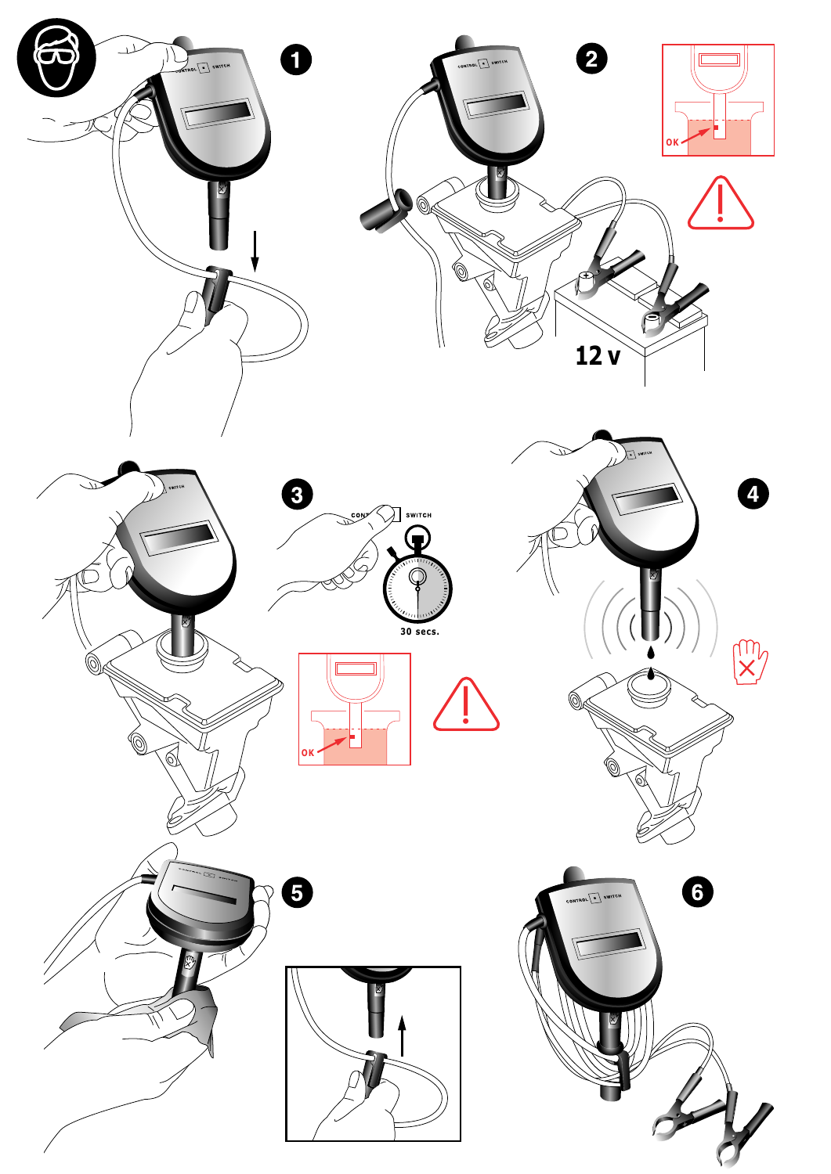